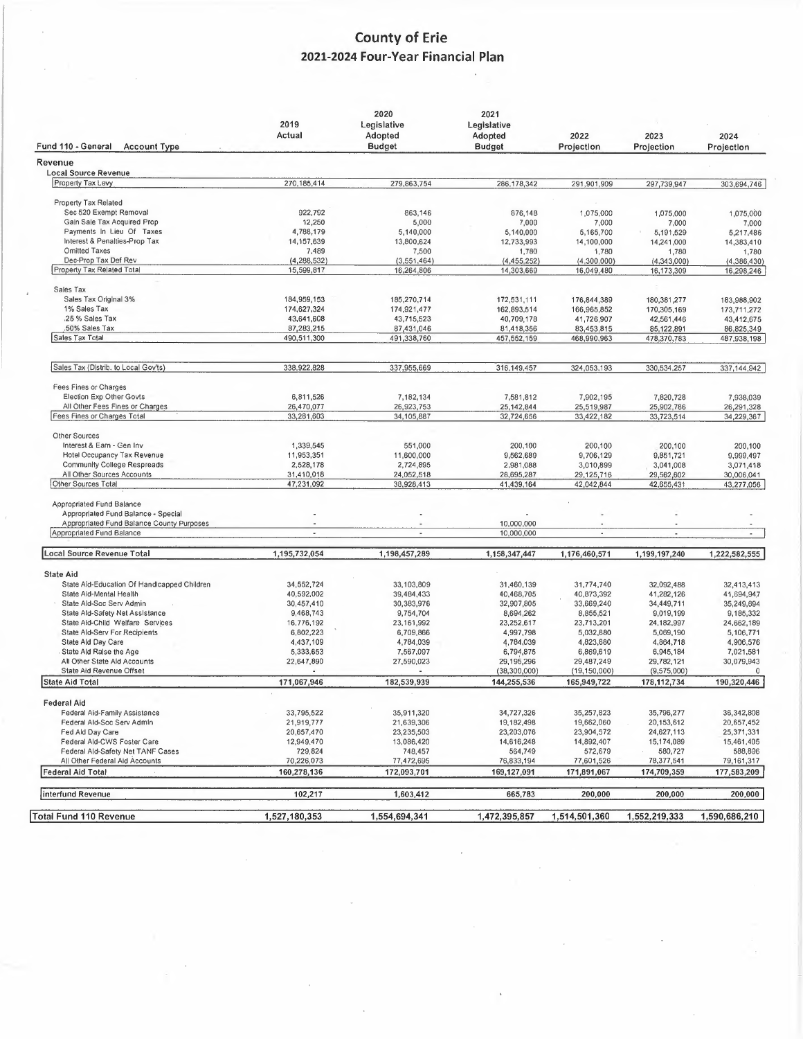## **County of Erie 2021-2024 Four-Year Financial Plan**

| Fund 110 - General<br><b>Account Type</b>                                        | 2019<br>Actual              | 2020<br>Legislative<br>Adopted<br><b>Budget</b> | 2021<br>Legislative<br>Adopted<br><b>Budget</b> | 2022<br>Projection        | 2023<br>Projection        | 2024<br>Projection        |
|----------------------------------------------------------------------------------|-----------------------------|-------------------------------------------------|-------------------------------------------------|---------------------------|---------------------------|---------------------------|
| Revenue                                                                          |                             |                                                 |                                                 |                           |                           |                           |
| <b>Local Source Revenue</b>                                                      |                             |                                                 |                                                 |                           |                           |                           |
| Property Tax Levy                                                                | 270, 185, 414               | 279,863,754                                     | 286,178,342                                     | 291,901,909               | 297,739,947               | 303,694,746               |
| Property Tax Related                                                             |                             |                                                 |                                                 |                           |                           |                           |
| Sec 520 Exempt Removal                                                           | 922,792                     | 863,146                                         | 876,148                                         | 1,075,000                 | 1,075,000                 | 1,075,000                 |
| Gain Sale Tax Acquired Prop                                                      | 12,250                      | 5,000                                           | 7,000                                           | 7,000                     | 7,000                     | 7,000                     |
| Payments In Lieu Of Taxes                                                        | 4,788,179                   | 5,140,000                                       | 5,140,000                                       | 5,165,700                 | 5,191,529                 | 5,217,486                 |
| Interest & Penalties-Prop Tax                                                    | 14, 157, 639                | 13,800,624                                      | 12,733,993                                      | 14,100,000                | 14,241,000                | 14,383,410                |
| <b>Omitted Taxes</b><br>Dec-Prop Tax Def Rev                                     | 7,489                       | 7,500                                           | 1,780                                           | 1,780                     | 1,780                     | 1,780                     |
| Property Tax Related Total                                                       | (4, 288, 532)<br>15,599,817 | (3,551,464)<br>16,264,806                       | (4, 455, 252)<br>14,303,669                     | (4,300,000)<br>16,049,480 | (4,343,000)<br>16,173,309 | (4,386,430)<br>16,298,246 |
|                                                                                  |                             |                                                 |                                                 |                           |                           |                           |
| Sales Tax                                                                        |                             |                                                 |                                                 |                           |                           |                           |
| Sales Tax Original 3%                                                            | 184,959,153                 | 185,270,714                                     | 172,531,111                                     | 176,844,389               | 180, 381, 277             | 183,988,902               |
| 1% Sales Tax                                                                     | 174,627,324                 | 174,921,477                                     | 162,893,514                                     | 166,965,852               | 170,305,169               | 173,711,272               |
| .25 % Sales Tax<br>.50% Sales Tax                                                | 43,641,608<br>87,283,215    | 43,715,523<br>87,431,046                        | 40,709,178                                      | 41,726,907                | 42,561,446                | 43,412,675                |
| Sales Tax Total                                                                  | 490,511,300                 | 491,338,760                                     | 81,418,356<br>457,552,159                       | 83,453,815<br>468,990,963 | 85,122,891<br>478,370,783 | 86,825,349<br>487,938,198 |
|                                                                                  |                             |                                                 |                                                 |                           |                           |                           |
| Sales Tax (Distrib. to Local Gov'ts)                                             | 338.922.828                 | 337,955,669                                     | 316,149,457                                     | 324,053,193               | 330,534,257               | 337,144,942               |
| Fees Fines or Charges                                                            |                             |                                                 |                                                 |                           |                           |                           |
| Election Exp Other Govts                                                         | 6,811,526                   | 7,182,134                                       | 7.581.812                                       | 7,902,195                 | 7,820,728                 | 7,938,039                 |
| All Other Fees Fines or Charges                                                  | 26,470,077                  | 26,923,753                                      | 25, 142, 844                                    | 25,519,987                | 25,902,786                | 26,291,328                |
| Fees Fines or Charges Total                                                      | 33,281,603                  | 34,105,887                                      | 32,724,656                                      | 33,422,182                | 33,723,514                | 34,229,367                |
| Other Sources                                                                    |                             |                                                 |                                                 |                           |                           |                           |
| Interest & Earn - Gen Inv                                                        | 1,339,545                   | 551,000                                         | 200,100                                         | 200,100                   | 200,100                   | 200,100                   |
| Hotel Occupancy Tax Revenue                                                      | 11,953,351                  | 11.600.000                                      | 9,562,689                                       | 9,706,129                 | 9,851,721                 | 9,999,497                 |
| Community College Respreads                                                      | 2,528,178                   | 2,724,895                                       | 2,981,088                                       | 3,010,899                 | 3,041,008                 | 3,071,418                 |
| All Other Sources Accounts<br>Other Sources Total                                | 31,410,018<br>47,231,092    | 24,052,518<br>38,928,413                        | 28,695,287<br>41,439,164                        | 29,125,716<br>42,042,844  | 29,562,602<br>42,655,431  | 30,006,041<br>43,277,056  |
|                                                                                  |                             |                                                 |                                                 |                           |                           |                           |
| Appropriated Fund Balance                                                        |                             |                                                 |                                                 |                           |                           |                           |
| Appropriated Fund Balance - Special<br>Appropriated Fund Balance County Purposes |                             |                                                 | 10,000,000                                      |                           |                           |                           |
| Appropriated Fund Balance                                                        | ×,                          | $\sim$                                          | 10,000,000                                      | $\overline{\phantom{a}}$  | $\blacksquare$            | $\blacksquare$            |
|                                                                                  |                             |                                                 |                                                 |                           |                           |                           |
| <b>Local Source Revenue Total</b>                                                | 1,195,732,054               | 1,198,457,289                                   | 1,158,347,447                                   | 1,176,460,571             | 1,199,197,240             | 1,222,582,555             |
| <b>State Aid</b>                                                                 |                             |                                                 |                                                 |                           |                           |                           |
| State Aid-Education Of Handicapped Children                                      | 34,552,724                  | 33,103,809                                      | 31,460,139                                      | 31,774,740                | 32,092,488                | 32,413,413                |
| State Aid-Mental Health                                                          | 40,592,002                  | 39,484,433                                      | 40,468,705                                      | 40,873,392                | 41,282,126                | 41,694,947                |
| State Ald-Soc Serv Admin<br>State Ald-Safety Net Assistance                      | 30,457,410<br>9,468,743     | 30,383,976<br>9,754,704                         | 32,907,805<br>8,694,262                         | 33,669,240<br>8,855,521   | 34,449,711<br>9,019,199   | 35,249,694<br>9,185,332   |
| State Aid-Child Welfare Services                                                 | 16,776,192                  | 23,161,992                                      | 23,252,617                                      | 23,713,201                | 24, 182, 997              | 24,662,189                |
| State Ald-Serv For Recipients                                                    | 6,802,223                   | 6,709,866                                       | 4,997,798                                       | 5,032,880                 | 5,069,190                 | 5,106,771                 |
| State Ald Day Care                                                               | 4,437,109                   | 4,784,039                                       | 4,784,039                                       | 4,823,880                 | 4,864,718                 | 4,906,576                 |
| State Ald Ralse the Age                                                          | 5,333,653                   | 7,567,097                                       | 6,794,875                                       | 6,869,619                 | 6,945,184                 | 7,021,581                 |
| All Other State Ald Accounts                                                     | 22,647,890                  | 27,590,023                                      | 29,195,296                                      | 29,487,249                | 29,782,121                | 30,079,943                |
| State Aid Revenue Offset                                                         |                             |                                                 | (38,300,000)                                    | (19, 150, 000)            | (9,575,000)               | $\Omega$                  |
| State Aid Total                                                                  | 171,067,946                 | 182,539,939                                     | 144,255,536                                     | 165,949,722               | 178, 112, 734             | 190,320,446               |
| <b>Federal Aid</b>                                                               |                             |                                                 |                                                 |                           |                           |                           |
| Federal Aid-Family Assistance                                                    | 33,795,522                  | 35,911,320                                      | 34,727,326                                      | 35,257,823                | 35,796,277                | 36,342,808                |
| Federal Ald-Soc Serv Admin                                                       | 21,919,777                  | 21,639,306                                      | 19,182,498                                      | 19,662,060                | 20,153,612                | 20,657,452                |
| Fed Ald Day Care                                                                 | 20,657,470                  | 23,235,503                                      | 23,203,076                                      | 23,904,572                | 24,627,113                | 25,371,331                |
| Federal Ald-CWS Foster Care<br>Federal Ald-Safety Net TANF Cases                 | 12,949,470                  | 13,086,420                                      | 14,616,248                                      | 14,892,407                | 15,174,089                | 15,461,405                |
| All Other Federal Aid Accounts                                                   | 729,824<br>70,226,073       | 748,457<br>77,472,695                           | 564,749<br>76,833,194                           | 572,679<br>77,601,526     | 580,727<br>78,377,541     | 588,896<br>79,161,317     |
| <b>Federal Aid Total</b>                                                         | 160,278,136                 | 172,093,701                                     | 169,127,091                                     | 171,891,067               | 174,709,359               | 177,583,209               |
| interfund Revenue                                                                | 102,217                     | 1,603,412                                       | 665,783                                         | 200,000                   | 200,000                   | 200,000                   |
|                                                                                  |                             |                                                 |                                                 |                           |                           |                           |
| <b>Total Fund 110 Revenue</b>                                                    | 1,527,180,353               | 1,554,694,341                                   | 1,472,395,857                                   | 1,514,501,360             | 1,552,219,333             | 1,590,686,210             |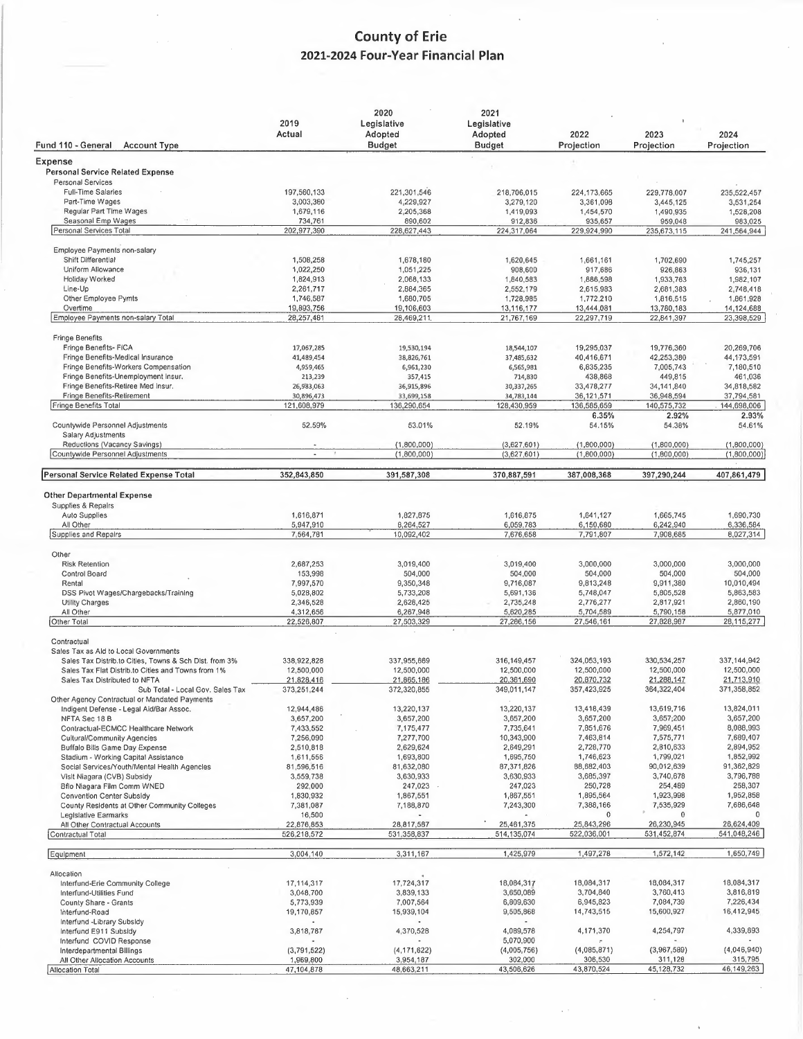## **County of Erie** 2021-2024 Four-Year Financial Plan

 $\overline{\phantom{a}}$ 

| Fund 110 - General<br><b>Account Type</b>                         | 2019<br>Actual            | 2020<br>Legislative<br>Adopted<br><b>Budget</b> | 2021<br>Legislative<br>Adopted<br><b>Budget</b> | 2022<br>Projection         | 2023<br>Projection         | 2024<br>Projection         |
|-------------------------------------------------------------------|---------------------------|-------------------------------------------------|-------------------------------------------------|----------------------------|----------------------------|----------------------------|
| Expense                                                           |                           |                                                 |                                                 |                            |                            |                            |
| <b>Personal Service Related Expense</b>                           |                           |                                                 |                                                 |                            |                            |                            |
| <b>Personal Services</b>                                          |                           |                                                 |                                                 |                            |                            |                            |
| Full-Time Salaries                                                | 197,560,133               | 221,301,546                                     | 218,706,015                                     | 224,173,665                | 229,778,007                | 235,522,457                |
| Part-Time Wages                                                   | 3,003,380                 | 4,229,927                                       | 3,279,120                                       | 3,361,098                  | 3,445,125                  | 3,531,254                  |
| Regular Part Time Wages<br>Seasonal Emp Wages                     | 1,679,116<br>734,761      | 2,205,368                                       | 1,419,093                                       | 1,454,570                  | 1,490,935                  | 1,528,208                  |
| Personal Services Total                                           | 202,977,390               | 890,602<br>228,627,443                          | 912,836<br>224,317,064                          | 935,657<br>229,924,990     | 959,048<br>235,673,115     | 983,025<br>241,564,944     |
|                                                                   |                           |                                                 |                                                 |                            |                            |                            |
| Employee Payments non-salary                                      |                           |                                                 |                                                 |                            |                            |                            |
| Shift Differential                                                | 1,508,258                 | 1,678,180                                       | 1,620,645                                       | 1,661,161                  | 1,702,690                  | 1,745,257                  |
| Uniform Allowance<br>Holiday Worked                               | 1,022,250                 | 1,051,225                                       | 908,600                                         | 917,686                    | 926,863                    | 936,131                    |
| Line-Up                                                           | 1,824,913<br>2,261,717    | 2,068,133<br>2,884,365                          | 1,840,583<br>2,552,179                          | 1,886,598<br>2,615,983     | 1,933,763<br>2,681,383     | 1,982,107<br>2,748,418     |
| Other Employee Pymts                                              | 1,746,587                 | 1,680,705                                       | 1,728,985                                       | 1,772,210                  | 1,816,515                  | 1,861,928                  |
| Overtime                                                          | 19,893,756                | 19,106,603                                      | 13,116,177                                      | 13,444,081                 | 13,780,183                 | 14,124,688                 |
| Employee Payments non-salary Total                                | 28,257,481                | 28,469,211                                      | 21,767,169                                      | 22,297,719                 | 22,841,397                 | 23,398,529                 |
| <b>Fringe Benefits</b>                                            |                           |                                                 |                                                 |                            |                            |                            |
| Fringe Benefits- FICA                                             | 17,067,285                | 19,530,194                                      | 18,544,107                                      | 19,295,037                 | 19,776,360                 | 20,269,706                 |
| Fringe Benefits-Medical Insurance                                 | 41,489,454                | 38,826,761                                      | 37,485,632                                      | 40,416,671                 | 42,253,380                 | 44,173,591                 |
| Fringe Benefits-Workers Compensation                              | 4,959,465                 | 6,961,230                                       | 6,565,981                                       | 6,835,235                  | 7,005,743                  | 7,180,510                  |
| Fringe Benefits-Unemployment Insur.                               | 213,239                   | 357,415                                         | 714,830                                         | 438,868                    | 449,815                    | 461,036                    |
| Fringe Benefits-Retiree Med Insur.                                | 26,983,063                | 36,915,896                                      | 30,337,265                                      | 33,478,277                 | 34,141,840                 | 34,818,582                 |
| Fringe Benefits-Retirement                                        | 30,896,473                | 33,699,158                                      | 34,783,144                                      | 36,121,571                 | 36,948,594                 | 37,794,581                 |
| Fringe Benefits Total                                             | 121,608,979               | 136,290,654                                     | 128,430,959                                     | 136,585,659                | 140,575,732                | 144,698,006                |
| Countywide Personnel Adjustments                                  | 52.59%                    | 53.01%                                          | 52.19%                                          | 6.35%<br>54.15%            | 2.92%<br>54.38%            | 2.93%<br>54.61%            |
| Salary Adjustments                                                |                           |                                                 |                                                 |                            |                            |                            |
| Reductions (Vacancy Savings)<br>Countywide Personnel Adjustments  |                           | (1,800,000)<br>(1,800,000)                      | (3,627,601)<br>(3,627,601)                      | (1,800,000)<br>(1,800,000) | (1,800,000)<br>(1,800,000) | (1,800,000)<br>(1,800,000) |
|                                                                   |                           |                                                 |                                                 |                            |                            |                            |
| Personal Service Related Expense Total                            | 352,843,850               | 391,587,308                                     | 370,887,591                                     | 387,008,368                | 397,290,244                | 407,861,479                |
| <b>Other Departmental Expense</b>                                 |                           |                                                 |                                                 |                            |                            |                            |
| Supplies & Repairs                                                |                           |                                                 |                                                 |                            |                            |                            |
| <b>Auto Supplies</b>                                              | 1,616,871                 | 1,827,875                                       | 1,616,875                                       | 1,641,127                  | 1,665,745                  | 1,690,730                  |
| All Other                                                         | 5,947,910                 | 8,264,527                                       | 6,059,783                                       | 6,150,680                  | 6,242,940                  | 6,336,584                  |
| Supplies and Repairs                                              | 7,564,781                 | 10,092,402                                      | 7,676,658                                       | 7,791,807                  | 7,908,685                  | 8,027,314                  |
| Other                                                             |                           |                                                 |                                                 |                            |                            |                            |
| <b>Risk Retention</b>                                             | 2,687,253                 | 3,019,400                                       | 3,019,400                                       | 3,000,000                  | 3,000,000                  | 3,000,000                  |
| Control Board                                                     | 153,998                   | 504,000                                         | 504,000                                         | 504,000                    | 504,000                    | 504,000                    |
| Rental                                                            | 7,997,570                 | 9,350,348                                       | 9,716,087                                       | 9,813,248                  | 9,911,380                  | 10,010,494                 |
| DSS Pivot Wages/Chargebacks/Training                              | 5,028,802                 | 5,733,208                                       | 5,691,136                                       | 5,748,047                  | 5,805,528                  | 5,863,583                  |
| <b>Utility Charges</b>                                            | 2,346,528                 | 2,628,425                                       | 2,735,248                                       | 2,776,277                  | 2,817,921                  | 2,860,190                  |
| All Other                                                         | 4,312,656                 | 6,267,948                                       | 5,620,285                                       | 5,704,589                  | 5,790,158                  | 5,877,010                  |
| Other Total                                                       | 22,526,807                | 27,503,329                                      | 27,286,156                                      | 27,546,161                 | 27,828,987                 | 28,115,277                 |
| Contractual                                                       |                           |                                                 |                                                 |                            |                            |                            |
| Sales Tax as Ald to Local Governments                             |                           |                                                 |                                                 |                            |                            |                            |
| Sales Tax Distrib to Cities, Towns & Sch Dist. from 3%            | 338,922,828               | 337,955,669                                     | 316,149,457                                     | 324,053,193                | 330,534,257                | 337, 144, 942              |
| Sales Tax Flat Distrib.to Cities and Towns from 1%                | 12,500,000                | 12,500,000                                      | 12,500,000                                      | 12,500,000                 | 12,500,000                 | 12,500,000                 |
| Sales Tax Distributed to NFTA<br>Sub Total - Local Gov. Sales Tax | 21,828,416<br>373,251,244 | 21,865,186<br>372,320,855                       | 20,361,690<br>349,011,147                       | 20,870,732<br>357,423,925  | 21,288,147<br>364,322,404  | 21,713,910<br>371,358,852  |
| Other Agency Contractual or Mandated Payments                     |                           |                                                 |                                                 |                            |                            |                            |
| Indigent Defense - Legal Aid/Bar Assoc.                           | 12,944,486                | 13,220,137                                      | 13,220,137                                      | 13,418,439                 | 13,619,716                 | 13,824,011                 |
| NFTA Sec 18 B                                                     | 3,657,200                 | 3,657,200                                       | 3,657,200                                       | 3,657,200                  | 3,657;200                  | 3,657,200                  |
| Contractual-ECMCC Healthcare Network                              | 7,433,552                 | 7,175,477                                       | 7,735,641                                       | 7,851,676                  | 7,969,451                  | 8,088,993                  |
| <b>Cultural/Community Agencies</b>                                | 7,256,090                 | 7,277,700                                       | 10,343,900                                      | 7,463,814                  | 7,575,771                  | 7,689,407                  |
| Buffalo Bills Game Day Expense                                    | 2,510,818                 | 2,629,624                                       | 2,649,291                                       | 2,728,770                  | 2,810,633                  | 2,894,952                  |
| Stadium - Working Capital Assistance                              | 1,611,556                 | 1,693,800                                       | 1,695,750                                       | 1,746,623                  | 1,799,021                  | 1,852,992                  |
| Social Services/Youth/Mental Health Agencles                      | 81,596,516                | 81,632,080                                      | 87,371,826                                      | 88,682,403                 | 90,012,639                 | 91,362,829                 |
| Vislt Niagara (CVB) Subsidy                                       | 3,559,738                 | 3,630,933                                       | 3,630,933                                       | 3,685,397                  | 3,740,678                  | 3,796,788<br>258,307       |
| Bflo Niagara Film Comm WNED<br>Convention Center Subsidy          | 292,000                   | 247,023                                         | 247,023                                         | 250,728<br>1,895,564       | 254,489<br>1,923,998       | 1,952,858                  |
| County Residents at Other Community Colleges                      | 1,830,932<br>7,381,087    | 1,867,551<br>7,188,870                          | 1,867,551<br>7,243,300                          | 7,388,166                  | 7,535,929                  | 7,686,648                  |
| Legislative Earmarks                                              | 16,500                    |                                                 |                                                 | 0                          | 0                          |                            |
| All Other Contractual Accounts                                    | 22,876,853                | 28,817,587                                      | 25,461,375                                      | 25,843,296                 | 26,230,945                 | 26,624,409                 |
| Contractual Total                                                 | 526,218,572               | 531,358,837                                     | 514,135,074                                     | 522,036,001                | 531,452,874                | 541,048,246                |
| Equipment                                                         | 3,004,140                 | 3,311,167                                       | 1,425,979                                       | 1,497,278                  | 1,572,142                  | 1,650,749                  |
|                                                                   |                           |                                                 |                                                 |                            |                            |                            |
| Allocation<br>Interfund-Erie Community College                    | 17, 114, 317              | 17,724,317                                      | 18,084,317                                      | 18,084,317                 | 18,084,317                 | 18,084,317                 |
| Interfund-Utilities Fund                                          | 3,048,700                 | 3,839,133                                       | 3,650,089                                       | 3,704,840                  | 3,760,413                  | 3,816,819                  |
| County Share - Grants                                             | 5,773,939                 | 7,007,564                                       | 6,809,630                                       | 6,945,823                  | 7,084,739                  | 7,226,434                  |
| Interfund-Road                                                    | 19,170,857                | 15,939,104                                      | 9,505,868                                       | 14,743,515                 | 15,600,927                 | 16,412,945                 |
| Interfund -Library Subsidy                                        |                           |                                                 |                                                 |                            |                            |                            |
| Interfund E911 Subsidy                                            | 3,818,787                 | 4,370,528                                       | 4,089,578                                       | 4,171,370                  | 4,254,797                  | 4,339,893                  |
| Interfund COVID Response                                          |                           |                                                 | 5,070,900                                       | (4,085,871)                | (3,967,589)                | (4,046,940)                |
| Interdepartmental Billings<br>All Other Allocation Accounts       | (3,791,522)<br>1,969,800  | (4, 171, 622)<br>3,954,187                      | (4,005,756)<br>302,000                          | 306,530                    | 311,128                    | 315,795                    |
| Allocation Total                                                  | 47,104,878                | 48,663,211                                      | 43,506,626                                      | 43,870,524                 | 45,128,732                 | 46,149,263                 |
|                                                                   |                           |                                                 |                                                 |                            |                            |                            |

 $\bar{\mathcal{L}}$